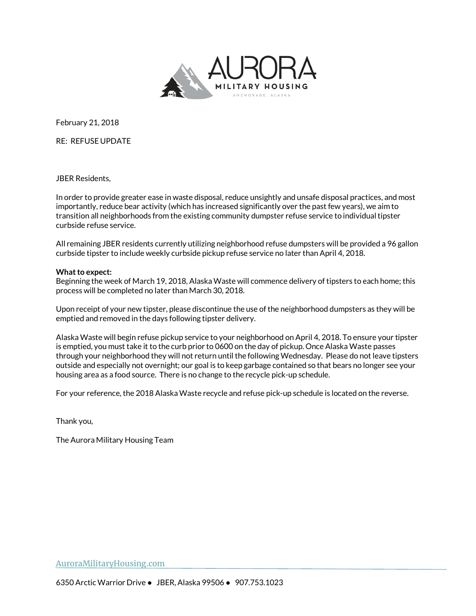

February 21, 2018

RE: REFUSE UPDATE

JBER Residents,

In order to provide greater ease in waste disposal, reduce unsightly and unsafe disposal practices, and most importantly, reduce bear activity (which has increased significantly over the past few years), we aim to transition all neighborhoods from the existing community dumpster refuse service to individual tipster curbside refuse service.

All remaining JBER residents currently utilizing neighborhood refuse dumpsters will be provided a 96 gallon curbside tipster to include weekly curbside pickup refuse service no later than April 4, 2018.

## **What to expect:**

Beginning the week of March 19, 2018, Alaska Waste will commence delivery of tipsters to each home; this process will be completed no later than March 30, 2018.

Upon receipt of your new tipster, please discontinue the use of the neighborhood dumpsters as they will be emptied and removed in the days following tipster delivery.

Alaska Waste will begin refuse pickup service to your neighborhood on April 4, 2018. To ensure your tipster is emptied, you must take it to the curb prior to 0600 on the day of pickup. Once Alaska Waste passes through your neighborhood they will not return until the following Wednesday. Please do not leave tipsters outside and especially not overnight; our goal is to keep garbage contained so that bears no longer see your housing area as a food source. There is no change to the recycle pick-up schedule.

For your reference, the 2018 Alaska Waste recycle and refuse pick-up schedule is located on the reverse.

Thank you,

The Aurora Military Housing Team

AuroraMilitaryHousing.com